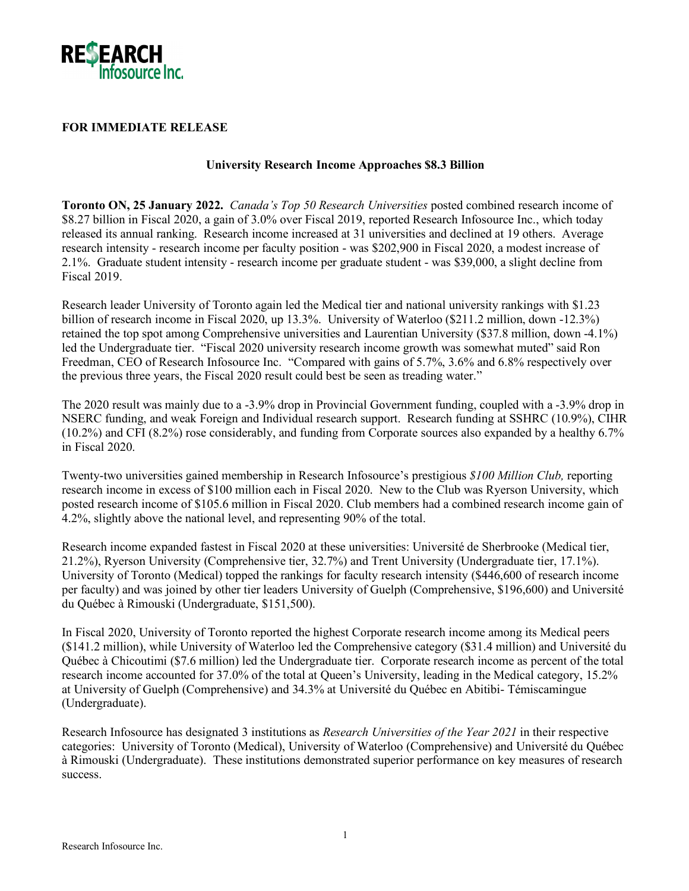

## **FOR IMMEDIATE RELEASE**

## **University Research Income Approaches \$8.3 Billion**

**Toronto ON, 25 January 2022.** *Canada's Top 50 Research Universities* posted combined research income of \$8.27 billion in Fiscal 2020, a gain of 3.0% over Fiscal 2019, reported Research Infosource Inc., which today released its annual ranking. Research income increased at 31 universities and declined at 19 others. Average research intensity - research income per faculty position - was \$202,900 in Fiscal 2020, a modest increase of 2.1%. Graduate student intensity - research income per graduate student - was \$39,000, a slight decline from Fiscal 2019.

Research leader University of Toronto again led the Medical tier and national university rankings with \$1.23 billion of research income in Fiscal 2020, up 13.3%. University of Waterloo (\$211.2 million, down -12.3%) retained the top spot among Comprehensive universities and Laurentian University (\$37.8 million, down -4.1%) led the Undergraduate tier. "Fiscal 2020 university research income growth was somewhat muted" said Ron Freedman, CEO of Research Infosource Inc. "Compared with gains of 5.7%, 3.6% and 6.8% respectively over the previous three years, the Fiscal 2020 result could best be seen as treading water."

The 2020 result was mainly due to a -3.9% drop in Provincial Government funding, coupled with a -3.9% drop in NSERC funding, and weak Foreign and Individual research support. Research funding at SSHRC (10.9%), CIHR (10.2%) and CFI (8.2%) rose considerably, and funding from Corporate sources also expanded by a healthy 6.7% in Fiscal 2020.

Twenty-two universities gained membership in Research Infosource's prestigious *\$100 Million Club,* reporting research income in excess of \$100 million each in Fiscal 2020. New to the Club was Ryerson University, which posted research income of \$105.6 million in Fiscal 2020. Club members had a combined research income gain of 4.2%, slightly above the national level, and representing 90% of the total.

Research income expanded fastest in Fiscal 2020 at these universities: Université de Sherbrooke (Medical tier, 21.2%), Ryerson University (Comprehensive tier, 32.7%) and Trent University (Undergraduate tier, 17.1%). University of Toronto (Medical) topped the rankings for faculty research intensity (\$446,600 of research income per faculty) and was joined by other tier leaders University of Guelph (Comprehensive, \$196,600) and Université du Québec à Rimouski (Undergraduate, \$151,500).

In Fiscal 2020, University of Toronto reported the highest Corporate research income among its Medical peers (\$141.2 million), while University of Waterloo led the Comprehensive category (\$31.4 million) and Université du Québec à Chicoutimi (\$7.6 million) led the Undergraduate tier. Corporate research income as percent of the total research income accounted for 37.0% of the total at Queen's University, leading in the Medical category, 15.2% at University of Guelph (Comprehensive) and 34.3% at Université du Québec en Abitibi- Témiscamingue (Undergraduate).

Research Infosource has designated 3 institutions as *Research Universities of the Year 2021* in their respective categories: University of Toronto (Medical), University of Waterloo (Comprehensive) and Université du Québec à Rimouski (Undergraduate). These institutions demonstrated superior performance on key measures of research success.